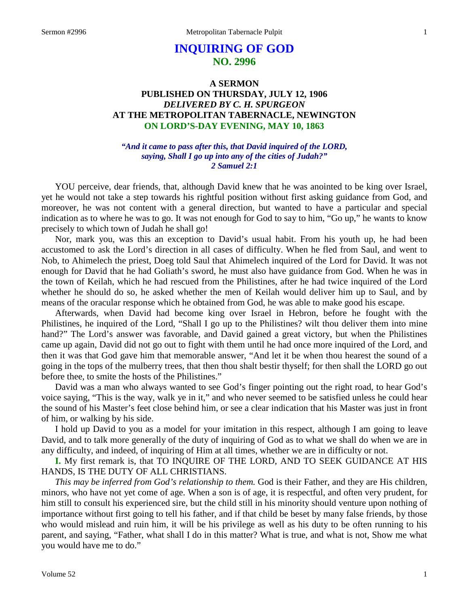# **INQUIRING OF GOD NO. 2996**

# **A SERMON PUBLISHED ON THURSDAY, JULY 12, 1906** *DELIVERED BY C. H. SPURGEON* **AT THE METROPOLITAN TABERNACLE, NEWINGTON ON LORD'S-DAY EVENING, MAY 10, 1863**

*"And it came to pass after this, that David inquired of the LORD, saying, Shall I go up into any of the cities of Judah?" 2 Samuel 2:1*

YOU perceive, dear friends, that, although David knew that he was anointed to be king over Israel, yet he would not take a step towards his rightful position without first asking guidance from God, and moreover, he was not content with a general direction, but wanted to have a particular and special indication as to where he was to go. It was not enough for God to say to him, "Go up," he wants to know precisely to which town of Judah he shall go!

Nor, mark you, was this an exception to David's usual habit. From his youth up, he had been accustomed to ask the Lord's direction in all cases of difficulty. When he fled from Saul, and went to Nob, to Ahimelech the priest, Doeg told Saul that Ahimelech inquired of the Lord for David. It was not enough for David that he had Goliath's sword, he must also have guidance from God. When he was in the town of Keilah, which he had rescued from the Philistines, after he had twice inquired of the Lord whether he should do so, he asked whether the men of Keilah would deliver him up to Saul, and by means of the oracular response which he obtained from God, he was able to make good his escape.

Afterwards, when David had become king over Israel in Hebron, before he fought with the Philistines, he inquired of the Lord, "Shall I go up to the Philistines? wilt thou deliver them into mine hand?" The Lord's answer was favorable, and David gained a great victory, but when the Philistines came up again, David did not go out to fight with them until he had once more inquired of the Lord, and then it was that God gave him that memorable answer, "And let it be when thou hearest the sound of a going in the tops of the mulberry trees, that then thou shalt bestir thyself; for then shall the LORD go out before thee, to smite the hosts of the Philistines."

David was a man who always wanted to see God's finger pointing out the right road, to hear God's voice saying, "This is the way, walk ye in it," and who never seemed to be satisfied unless he could hear the sound of his Master's feet close behind him, or see a clear indication that his Master was just in front of him, or walking by his side.

I hold up David to you as a model for your imitation in this respect, although I am going to leave David, and to talk more generally of the duty of inquiring of God as to what we shall do when we are in any difficulty, and indeed, of inquiring of Him at all times, whether we are in difficulty or not.

**I.** My first remark is, that TO INQUIRE OF THE LORD, AND TO SEEK GUIDANCE AT HIS HANDS, IS THE DUTY OF ALL CHRISTIANS.

*This may be inferred from God's relationship to them.* God is their Father, and they are His children, minors, who have not yet come of age. When a son is of age, it is respectful, and often very prudent, for him still to consult his experienced sire, but the child still in his minority should venture upon nothing of importance without first going to tell his father, and if that child be beset by many false friends, by those who would mislead and ruin him, it will be his privilege as well as his duty to be often running to his parent, and saying, "Father, what shall I do in this matter? What is true, and what is not, Show me what you would have me to do."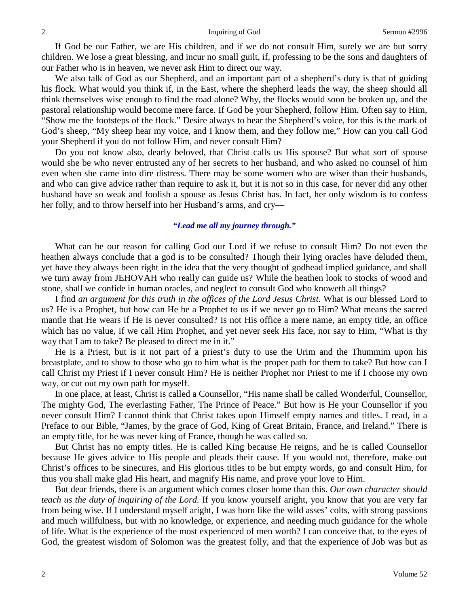If God be our Father, we are His children, and if we do not consult Him, surely we are but sorry children. We lose a great blessing, and incur no small guilt, if, professing to be the sons and daughters of our Father who is in heaven, we never ask Him to direct our way.

We also talk of God as our Shepherd, and an important part of a shepherd's duty is that of guiding his flock. What would you think if, in the East, where the shepherd leads the way, the sheep should all think themselves wise enough to find the road alone? Why, the flocks would soon be broken up, and the pastoral relationship would become mere farce. If God be your Shepherd, follow Him. Often say to Him, "Show me the footsteps of the flock." Desire always to hear the Shepherd's voice, for this is the mark of God's sheep, "My sheep hear my voice, and I know them, and they follow me," How can you call God your Shepherd if you do not follow Him, and never consult Him?

Do you not know also, dearly beloved, that Christ calls us His spouse? But what sort of spouse would she be who never entrusted any of her secrets to her husband, and who asked no counsel of him even when she came into dire distress. There may be some women who are wiser than their husbands, and who can give advice rather than require to ask it, but it is not so in this case, for never did any other husband have so weak and foolish a spouse as Jesus Christ has. In fact, her only wisdom is to confess her folly, and to throw herself into her Husband's arms, and cry—

#### *"Lead me all my journey through."*

What can be our reason for calling God our Lord if we refuse to consult Him? Do not even the heathen always conclude that a god is to be consulted? Though their lying oracles have deluded them, yet have they always been right in the idea that the very thought of godhead implied guidance, and shall we turn away from JEHOVAH who really can guide us? While the heathen look to stocks of wood and stone, shall we confide in human oracles, and neglect to consult God who knoweth all things?

I find *an argument for this truth in the offices of the Lord Jesus Christ*. What is our blessed Lord to us? He is a Prophet, but how can He be a Prophet to us if we never go to Him? What means the sacred mantle that He wears if He is never consulted? Is not His office a mere name, an empty title, an office which has no value, if we call Him Prophet, and yet never seek His face, nor say to Him, "What is thy way that I am to take? Be pleased to direct me in it."

He is a Priest, but is it not part of a priest's duty to use the Urim and the Thummim upon his breastplate, and to show to those who go to him what is the proper path for them to take? But how can I call Christ my Priest if I never consult Him? He is neither Prophet nor Priest to me if I choose my own way, or cut out my own path for myself.

In one place, at least, Christ is called a Counsellor, "His name shall be called Wonderful, Counsellor, The mighty God, The everlasting Father, The Prince of Peace." But how is He your Counsellor if you never consult Him? I cannot think that Christ takes upon Himself empty names and titles. I read, in a Preface to our Bible, "James, by the grace of God, King of Great Britain, France, and Ireland." There is an empty title, for he was never king of France, though he was called so.

But Christ has no empty titles. He is called King because He reigns, and he is called Counsellor because He gives advice to His people and pleads their cause. If you would not, therefore, make out Christ's offices to be sinecures, and His glorious titles to be but empty words, go and consult Him, for thus you shall make glad His heart, and magnify His name, and prove your love to Him.

But dear friends, there is an argument which comes closer home than this. *Our own character should teach us the duty of inquiring of the Lord.* If you know yourself aright, you know that you are very far from being wise. If I understand myself aright, I was born like the wild asses' colts, with strong passions and much willfulness, but with no knowledge, or experience, and needing much guidance for the whole of life. What is the experience of the most experienced of men worth? I can conceive that, to the eyes of God, the greatest wisdom of Solomon was the greatest folly, and that the experience of Job was but as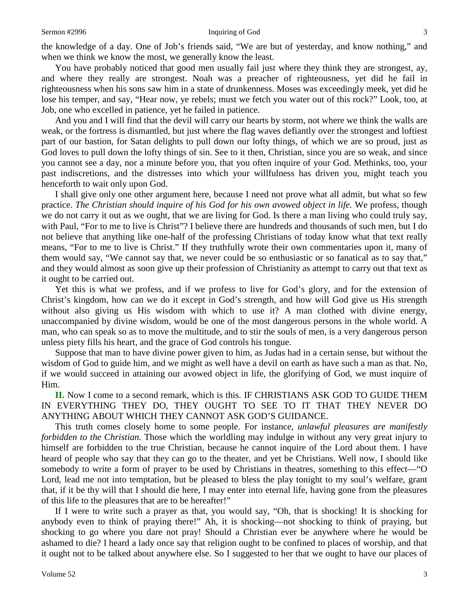the knowledge of a day. One of Job's friends said, "We are but of yesterday, and know nothing," and when we think we know the most, we generally know the least.

You have probably noticed that good men usually fail just where they think they are strongest, ay, and where they really are strongest. Noah was a preacher of righteousness, yet did he fail in righteousness when his sons saw him in a state of drunkenness. Moses was exceedingly meek, yet did he lose his temper, and say, "Hear now, ye rebels; must we fetch you water out of this rock?" Look, too, at Job, one who excelled in patience, yet he failed in patience.

And you and I will find that the devil will carry our hearts by storm, not where we think the walls are weak, or the fortress is dismantled, but just where the flag waves defiantly over the strongest and loftiest part of our bastion, for Satan delights to pull down our lofty things, of which we are so proud, just as God loves to pull down the lofty things of sin. See to it then, Christian, since you are so weak, and since you cannot see a day, nor a minute before you, that you often inquire of your God. Methinks, too, your past indiscretions, and the distresses into which your willfulness has driven you, might teach you henceforth to wait only upon God.

I shall give only one other argument here, because I need not prove what all admit, but what so few practice. *The Christian should inquire of his God for his own avowed object in life.* We profess, though we do not carry it out as we ought, that we are living for God. Is there a man living who could truly say, with Paul, "For to me to live is Christ"? I believe there are hundreds and thousands of such men, but I do not believe that anything like one-half of the professing Christians of today know what that text really means, "For to me to live is Christ." If they truthfully wrote their own commentaries upon it, many of them would say, "We cannot say that, we never could be so enthusiastic or so fanatical as to say that," and they would almost as soon give up their profession of Christianity as attempt to carry out that text as it ought to be carried out.

Yet this is what we profess, and if we profess to live for God's glory, and for the extension of Christ's kingdom, how can we do it except in God's strength, and how will God give us His strength without also giving us His wisdom with which to use it? A man clothed with divine energy, unaccompanied by divine wisdom, would be one of the most dangerous persons in the whole world. A man, who can speak so as to move the multitude, and to stir the souls of men, is a very dangerous person unless piety fills his heart, and the grace of God controls his tongue.

Suppose that man to have divine power given to him, as Judas had in a certain sense, but without the wisdom of God to guide him, and we might as well have a devil on earth as have such a man as that. No, if we would succeed in attaining our avowed object in life, the glorifying of God, we must inquire of Him.

**II.** Now I come to a second remark, which is this. IF CHRISTIANS ASK GOD TO GUIDE THEM IN EVERYTHING THEY DO, THEY OUGHT TO SEE TO IT THAT THEY NEVER DO ANYTHING ABOUT WHICH THEY CANNOT ASK GOD'S GUIDANCE.

This truth comes closely home to some people. For instance, *unlawful pleasures are manifestly forbidden to the Christian.* Those which the worldling may indulge in without any very great injury to himself are forbidden to the true Christian, because he cannot inquire of the Lord about them. I have heard of people who say that they can go to the theater, and yet be Christians. Well now, I should like somebody to write a form of prayer to be used by Christians in theatres, something to this effect—"O Lord, lead me not into temptation, but be pleased to bless the play tonight to my soul's welfare, grant that, if it be thy will that I should die here, I may enter into eternal life, having gone from the pleasures of this life to the pleasures that are to be hereafter!"

If I were to write such a prayer as that, you would say, "Oh, that is shocking! It is shocking for anybody even to think of praying there!" Ah, it is shocking—not shocking to think of praying, but shocking to go where you dare not pray! Should a Christian ever be anywhere where he would be ashamed to die? I heard a lady once say that religion ought to be confined to places of worship, and that it ought not to be talked about anywhere else. So I suggested to her that we ought to have our places of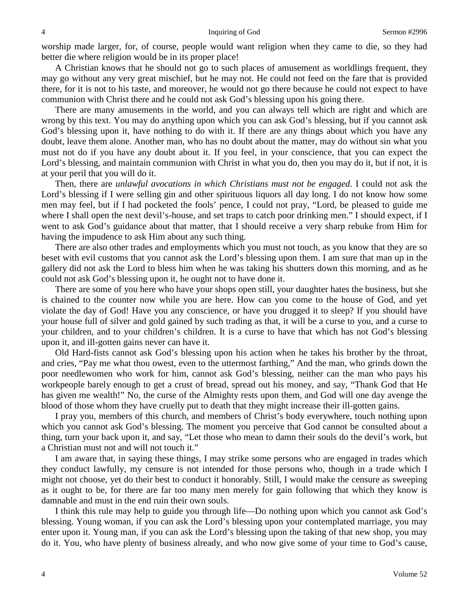worship made larger, for, of course, people would want religion when they came to die, so they had better die where religion would be in its proper place!

A Christian knows that he should not go to such places of amusement as worldlings frequent, they may go without any very great mischief, but he may not. He could not feed on the fare that is provided there, for it is not to his taste, and moreover, he would not go there because he could not expect to have communion with Christ there and he could not ask God's blessing upon his going there.

There are many amusements in the world, and you can always tell which are right and which are wrong by this text. You may do anything upon which you can ask God's blessing, but if you cannot ask God's blessing upon it, have nothing to do with it. If there are any things about which you have any doubt, leave them alone. Another man, who has no doubt about the matter, may do without sin what you must not do if you have any doubt about it. If you feel, in your conscience, that you can expect the Lord's blessing, and maintain communion with Christ in what you do, then you may do it, but if not, it is at your peril that you will do it.

Then, there are *unlawful avocations in which Christians must not be engaged*. I could not ask the Lord's blessing if I were selling gin and other spirituous liquors all day long. I do not know how some men may feel, but if I had pocketed the fools' pence, I could not pray, "Lord, be pleased to guide me where I shall open the next devil's-house, and set traps to catch poor drinking men." I should expect, if I went to ask God's guidance about that matter, that I should receive a very sharp rebuke from Him for having the impudence to ask Him about any such thing.

There are also other trades and employments which you must not touch, as you know that they are so beset with evil customs that you cannot ask the Lord's blessing upon them. I am sure that man up in the gallery did not ask the Lord to bless him when he was taking his shutters down this morning, and as he could not ask God's blessing upon it, he ought not to have done it.

There are some of you here who have your shops open still, your daughter hates the business, but she is chained to the counter now while you are here. How can you come to the house of God, and yet violate the day of God! Have you any conscience, or have you drugged it to sleep? If you should have your house full of silver and gold gained by such trading as that, it will be a curse to you, and a curse to your children, and to your children's children. It is a curse to have that which has not God's blessing upon it, and ill-gotten gains never can have it.

Old Hard-fists cannot ask God's blessing upon his action when he takes his brother by the throat, and cries, "Pay me what thou owest, even to the uttermost farthing," And the man, who grinds down the poor needlewomen who work for him, cannot ask God's blessing, neither can the man who pays his workpeople barely enough to get a crust of bread, spread out his money, and say, "Thank God that He has given me wealth!" No, the curse of the Almighty rests upon them, and God will one day avenge the blood of those whom they have cruelly put to death that they might increase their ill-gotten gains.

I pray you, members of this church, and members of Christ's body everywhere, touch nothing upon which you cannot ask God's blessing. The moment you perceive that God cannot be consulted about a thing, turn your back upon it, and say, "Let those who mean to damn their souls do the devil's work, but a Christian must not and will not touch it."

I am aware that, in saying these things, I may strike some persons who are engaged in trades which they conduct lawfully, my censure is not intended for those persons who, though in a trade which I might not choose, yet do their best to conduct it honorably. Still, I would make the censure as sweeping as it ought to be, for there are far too many men merely for gain following that which they know is damnable and must in the end ruin their own souls.

I think this rule may help to guide you through life—Do nothing upon which you cannot ask God's blessing. Young woman, if you can ask the Lord's blessing upon your contemplated marriage, you may enter upon it. Young man, if you can ask the Lord's blessing upon the taking of that new shop, you may do it. You, who have plenty of business already, and who now give some of your time to God's cause,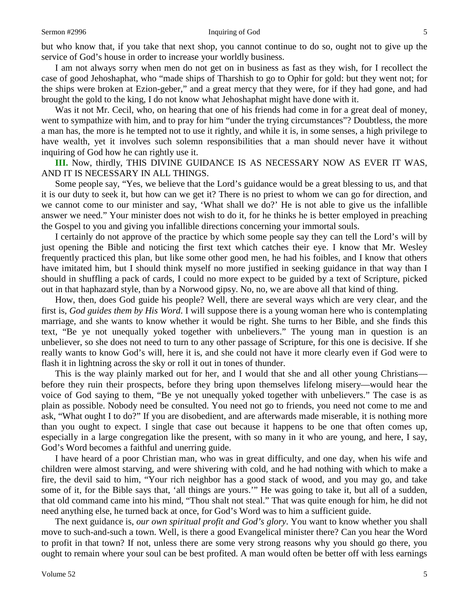I am not always sorry when men do not get on in business as fast as they wish, for I recollect the case of good Jehoshaphat, who "made ships of Tharshish to go to Ophir for gold: but they went not; for the ships were broken at Ezion-geber," and a great mercy that they were, for if they had gone, and had brought the gold to the king, I do not know what Jehoshaphat might have done with it.

Was it not Mr. Cecil, who, on hearing that one of his friends had come in for a great deal of money, went to sympathize with him, and to pray for him "under the trying circumstances"? Doubtless, the more a man has, the more is he tempted not to use it rightly, and while it is, in some senses, a high privilege to have wealth, yet it involves such solemn responsibilities that a man should never have it without inquiring of God how he can rightly use it.

**III.** Now, thirdly, THIS DIVINE GUIDANCE IS AS NECESSARY NOW AS EVER IT WAS, AND IT IS NECESSARY IN ALL THINGS.

Some people say, "Yes, we believe that the Lord's guidance would be a great blessing to us, and that it is our duty to seek it, but how can we get it? There is no priest to whom we can go for direction, and we cannot come to our minister and say, 'What shall we do?' He is not able to give us the infallible answer we need." Your minister does not wish to do it, for he thinks he is better employed in preaching the Gospel to you and giving you infallible directions concerning your immortal souls.

I certainly do not approve of the practice by which some people say they can tell the Lord's will by just opening the Bible and noticing the first text which catches their eye. I know that Mr. Wesley frequently practiced this plan, but like some other good men, he had his foibles, and I know that others have imitated him, but I should think myself no more justified in seeking guidance in that way than I should in shuffling a pack of cards, I could no more expect to be guided by a text of Scripture, picked out in that haphazard style, than by a Norwood gipsy. No, no, we are above all that kind of thing.

How, then, does God guide his people? Well, there are several ways which are very clear, and the first is, *God guides them by His Word*. I will suppose there is a young woman here who is contemplating marriage, and she wants to know whether it would be right. She turns to her Bible, and she finds this text, "Be ye not unequally yoked together with unbelievers." The young man in question is an unbeliever, so she does not need to turn to any other passage of Scripture, for this one is decisive. If she really wants to know God's will, here it is, and she could not have it more clearly even if God were to flash it in lightning across the sky or roll it out in tones of thunder.

This is the way plainly marked out for her, and I would that she and all other young Christians before they ruin their prospects, before they bring upon themselves lifelong misery—would hear the voice of God saying to them, "Be ye not unequally yoked together with unbelievers." The case is as plain as possible. Nobody need be consulted. You need not go to friends, you need not come to me and ask, "What ought I to do?" If you are disobedient, and are afterwards made miserable, it is nothing more than you ought to expect. I single that case out because it happens to be one that often comes up, especially in a large congregation like the present, with so many in it who are young, and here, I say, God's Word becomes a faithful and unerring guide.

I have heard of a poor Christian man, who was in great difficulty, and one day, when his wife and children were almost starving, and were shivering with cold, and he had nothing with which to make a fire, the devil said to him, "Your rich neighbor has a good stack of wood, and you may go, and take some of it, for the Bible says that, 'all things are yours.'" He was going to take it, but all of a sudden, that old command came into his mind, "Thou shalt not steal." That was quite enough for him, he did not need anything else, he turned back at once, for God's Word was to him a sufficient guide.

The next guidance is, *our own spiritual profit and God's glory*. You want to know whether you shall move to such-and-such a town. Well, is there a good Evangelical minister there? Can you hear the Word to profit in that town? If not, unless there are some very strong reasons why you should go there, you ought to remain where your soul can be best profited. A man would often be better off with less earnings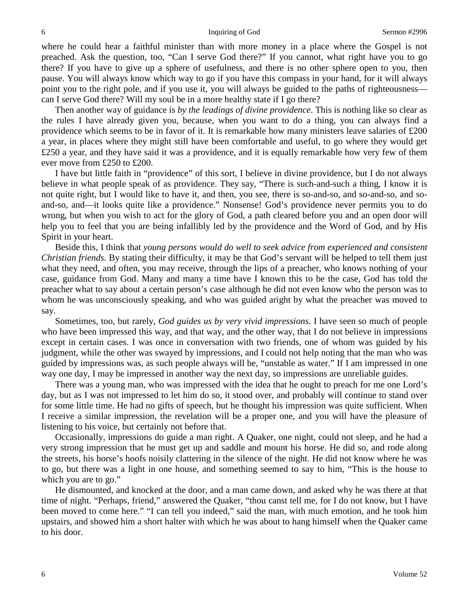where he could hear a faithful minister than with more money in a place where the Gospel is not preached. Ask the question, too, "Can I serve God there?" If you cannot, what right have you to go there? If you have to give up a sphere of usefulness, and there is no other sphere open to you, then pause. You will always know which way to go if you have this compass in your hand, for it will always point you to the right pole, and if you use it, you will always be guided to the paths of righteousness can I serve God there? Will my soul be in a more healthy state if I go there?

Then another way of guidance is *by the leadings of divine providence*. This is nothing like so clear as the rules I have already given you, because, when you want to do a thing, you can always find a providence which seems to be in favor of it. It is remarkable how many ministers leave salaries of £200 a year, in places where they might still have been comfortable and useful, to go where they would get £250 a year, and they have said it was a providence, and it is equally remarkable how very few of them ever move from £250 to £200.

I have but little faith in "providence" of this sort, I believe in divine providence, but I do not always believe in what people speak of as providence. They say, "There is such-and-such a thing, I know it is not quite right, but I would like to have it, and then, you see, there is so-and-so, and so-and-so, and soand-so, and—it looks quite like a providence." Nonsense! God's providence never permits you to do wrong, but when you wish to act for the glory of God, a path cleared before you and an open door will help you to feel that you are being infallibly led by the providence and the Word of God, and by His Spirit in your heart.

Beside this, I think that *young persons would do well to seek advice from experienced and consistent Christian friends.* By stating their difficulty, it may be that God's servant will be helped to tell them just what they need, and often, you may receive, through the lips of a preacher, who knows nothing of your case, guidance from God. Many and many a time have I known this to be the case, God has told the preacher what to say about a certain person's case although he did not even know who the person was to whom he was unconsciously speaking, and who was guided aright by what the preacher was moved to say.

Sometimes, too, but rarely, *God guides us by very vivid impressions*. I have seen so much of people who have been impressed this way, and that way, and the other way, that I do not believe in impressions except in certain cases. I was once in conversation with two friends, one of whom was guided by his judgment, while the other was swayed by impressions, and I could not help noting that the man who was guided by impressions was, as such people always will be, "unstable as water." If I am impressed in one way one day, I may be impressed in another way the next day, so impressions are unreliable guides.

There was a young man, who was impressed with the idea that he ought to preach for me one Lord's day, but as I was not impressed to let him do so, it stood over, and probably will continue to stand over for some little time. He had no gifts of speech, but he thought his impression was quite sufficient. When I receive a similar impression, the revelation will be a proper one, and you will have the pleasure of listening to his voice, but certainly not before that.

Occasionally, impressions do guide a man right. A Quaker, one night, could not sleep, and he had a very strong impression that he must get up and saddle and mount his horse. He did so, and rode along the streets, his horse's hoofs noisily clattering in the silence of the night. He did not know where he was to go, but there was a light in one house, and something seemed to say to him, "This is the house to which you are to go."

He dismounted, and knocked at the door, and a man came down, and asked why he was there at that time of night. "Perhaps, friend," answered the Quaker, "thou canst tell me, for I do not know, but I have been moved to come here." "I can tell you indeed," said the man, with much emotion, and he took him upstairs, and showed him a short halter with which he was about to hang himself when the Quaker came to his door.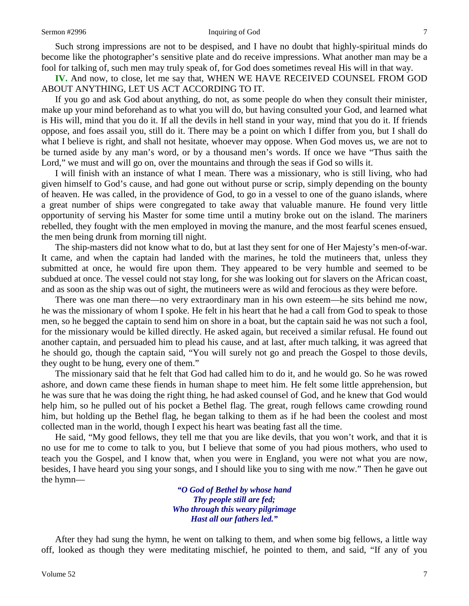#### Sermon #2996 **Inquiring of God** 7

Such strong impressions are not to be despised, and I have no doubt that highly-spiritual minds do become like the photographer's sensitive plate and do receive impressions. What another man may be a fool for talking of, such men may truly speak of, for God does sometimes reveal His will in that way.

**IV.** And now, to close, let me say that, WHEN WE HAVE RECEIVED COUNSEL FROM GOD ABOUT ANYTHING, LET US ACT ACCORDING TO IT.

If you go and ask God about anything, do not, as some people do when they consult their minister, make up your mind beforehand as to what you will do, but having consulted your God, and learned what is His will, mind that you do it. If all the devils in hell stand in your way, mind that you do it. If friends oppose, and foes assail you, still do it. There may be a point on which I differ from you, but I shall do what I believe is right, and shall not hesitate, whoever may oppose. When God moves us, we are not to be turned aside by any man's word, or by a thousand men's words. If once we have "Thus saith the Lord," we must and will go on, over the mountains and through the seas if God so wills it.

I will finish with an instance of what I mean. There was a missionary, who is still living, who had given himself to God's cause, and had gone out without purse or scrip, simply depending on the bounty of heaven. He was called, in the providence of God, to go in a vessel to one of the guano islands, where a great number of ships were congregated to take away that valuable manure. He found very little opportunity of serving his Master for some time until a mutiny broke out on the island. The mariners rebelled, they fought with the men employed in moving the manure, and the most fearful scenes ensued, the men being drunk from morning till night.

The ship-masters did not know what to do, but at last they sent for one of Her Majesty's men-of-war. It came, and when the captain had landed with the marines, he told the mutineers that, unless they submitted at once, he would fire upon them. They appeared to be very humble and seemed to be subdued at once. The vessel could not stay long, for she was looking out for slavers on the African coast, and as soon as the ship was out of sight, the mutineers were as wild and ferocious as they were before.

There was one man there—no very extraordinary man in his own esteem—he sits behind me now, he was the missionary of whom I spoke. He felt in his heart that he had a call from God to speak to those men, so he begged the captain to send him on shore in a boat, but the captain said he was not such a fool, for the missionary would be killed directly. He asked again, but received a similar refusal. He found out another captain, and persuaded him to plead his cause, and at last, after much talking, it was agreed that he should go, though the captain said, "You will surely not go and preach the Gospel to those devils, they ought to be hung, every one of them."

The missionary said that he felt that God had called him to do it, and he would go. So he was rowed ashore, and down came these fiends in human shape to meet him. He felt some little apprehension, but he was sure that he was doing the right thing, he had asked counsel of God, and he knew that God would help him, so he pulled out of his pocket a Bethel flag. The great, rough fellows came crowding round him, but holding up the Bethel flag, he began talking to them as if he had been the coolest and most collected man in the world, though I expect his heart was beating fast all the time.

He said, "My good fellows, they tell me that you are like devils, that you won't work, and that it is no use for me to come to talk to you, but I believe that some of you had pious mothers, who used to teach you the Gospel, and I know that, when you were in England, you were not what you are now, besides, I have heard you sing your songs, and I should like you to sing with me now." Then he gave out the hymn—

> *"O God of Bethel by whose hand Thy people still are fed; Who through this weary pilgrimage Hast all our fathers led."*

After they had sung the hymn, he went on talking to them, and when some big fellows, a little way off, looked as though they were meditating mischief, he pointed to them, and said, "If any of you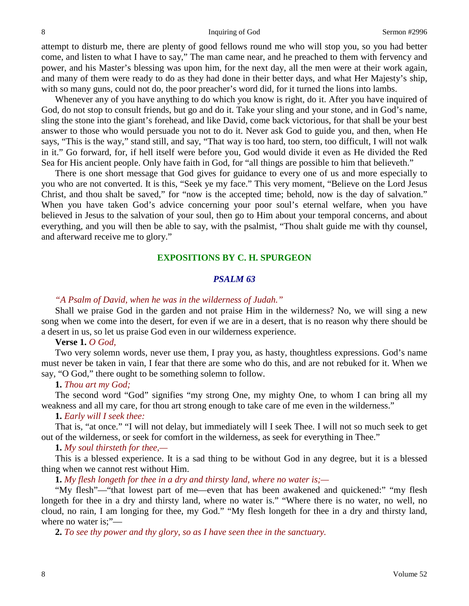attempt to disturb me, there are plenty of good fellows round me who will stop you, so you had better come, and listen to what I have to say," The man came near, and he preached to them with fervency and power, and his Master's blessing was upon him, for the next day, all the men were at their work again, and many of them were ready to do as they had done in their better days, and what Her Majesty's ship, with so many guns, could not do, the poor preacher's word did, for it turned the lions into lambs.

Whenever any of you have anything to do which you know is right, do it. After you have inquired of God, do not stop to consult friends, but go and do it. Take your sling and your stone, and in God's name, sling the stone into the giant's forehead, and like David, come back victorious, for that shall be your best answer to those who would persuade you not to do it. Never ask God to guide you, and then, when He says, "This is the way," stand still, and say, "That way is too hard, too stern, too difficult, I will not walk in it." Go forward, for, if hell itself were before you, God would divide it even as He divided the Red Sea for His ancient people. Only have faith in God, for "all things are possible to him that believeth."

There is one short message that God gives for guidance to every one of us and more especially to you who are not converted. It is this, "Seek ye my face." This very moment, "Believe on the Lord Jesus Christ, and thou shalt be saved," for "now is the accepted time; behold, now is the day of salvation." When you have taken God's advice concerning your poor soul's eternal welfare, when you have believed in Jesus to the salvation of your soul, then go to Him about your temporal concerns, and about everything, and you will then be able to say, with the psalmist, "Thou shalt guide me with thy counsel, and afterward receive me to glory."

## **EXPOSITIONS BY C. H. SPURGEON**

## *PSALM 63*

#### *"A Psalm of David, when he was in the wilderness of Judah."*

Shall we praise God in the garden and not praise Him in the wilderness? No, we will sing a new song when we come into the desert, for even if we are in a desert, that is no reason why there should be a desert in us, so let us praise God even in our wilderness experience.

## **Verse 1.** *O God,*

Two very solemn words, never use them, I pray you, as hasty, thoughtless expressions. God's name must never be taken in vain, I fear that there are some who do this, and are not rebuked for it. When we say, "O God," there ought to be something solemn to follow.

#### **1.** *Thou art my God;*

The second word "God" signifies "my strong One, my mighty One, to whom I can bring all my weakness and all my care, for thou art strong enough to take care of me even in the wilderness."

## **1.** *Early will I seek thee:*

That is, "at once." "I will not delay, but immediately will I seek Thee. I will not so much seek to get out of the wilderness, or seek for comfort in the wilderness, as seek for everything in Thee."

#### **1.** *My soul thirsteth for thee,—*

This is a blessed experience. It is a sad thing to be without God in any degree, but it is a blessed thing when we cannot rest without Him.

**1.** *My flesh longeth for thee in a dry and thirsty land, where no water is;—*

"My flesh"—"that lowest part of me—even that has been awakened and quickened:" "my flesh longeth for thee in a dry and thirsty land, where no water is." "Where there is no water, no well, no cloud, no rain, I am longing for thee, my God." "My flesh longeth for thee in a dry and thirsty land, where no water is;"-

**2.** *To see thy power and thy glory, so as I have seen thee in the sanctuary.*